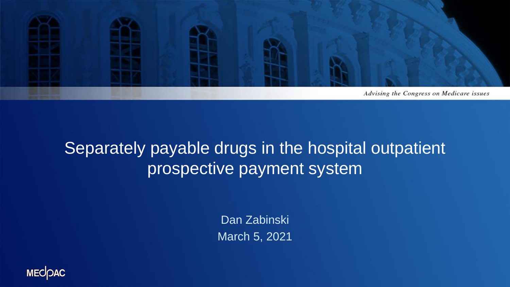

### Separately payable drugs in the hospital outpatient prospective payment system

Dan Zabinski March 5, 2021

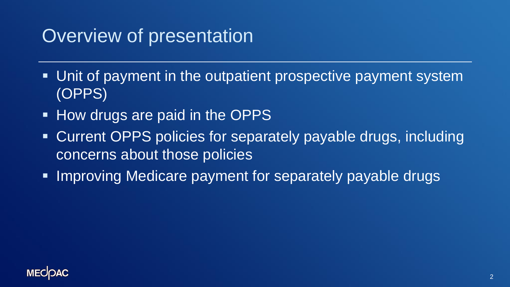### Overview of presentation

- Unit of payment in the outpatient prospective payment system (OPPS)
- **How drugs are paid in the OPPS**
- Current OPPS policies for separately payable drugs, including concerns about those policies
- **Improving Medicare payment for separately payable drugs**

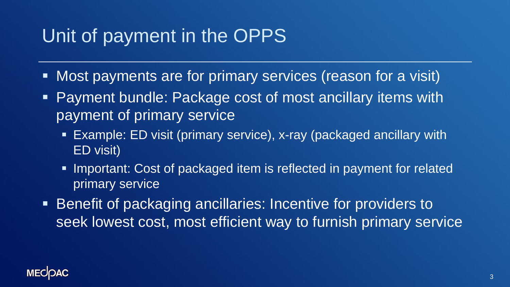### Unit of payment in the OPPS

- Most payments are for primary services (reason for a visit)
- **Payment bundle: Package cost of most ancillary items with** payment of primary service
	- **Example: ED visit (primary service), x-ray (packaged ancillary with** ED visit)
	- **.** Important: Cost of packaged item is reflected in payment for related primary service
- **EXECTE:** Benefit of packaging ancillaries: Incentive for providers to seek lowest cost, most efficient way to furnish primary service

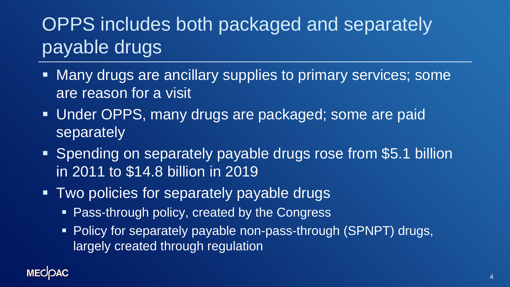# OPPS includes both packaged and separately payable drugs

- Many drugs are ancillary supplies to primary services; some are reason for a visit
- **. Under OPPS, many drugs are packaged; some are paid** separately
- **EXPEDING ON SEPARATELY payable drugs rose from \$5.1 billion** in 2011 to \$14.8 billion in 2019
- **. Two policies for separately payable drugs** 
	- Pass-through policy, created by the Congress
	- **Policy for separately payable non-pass-through (SPNPT) drugs,** largely created through regulation

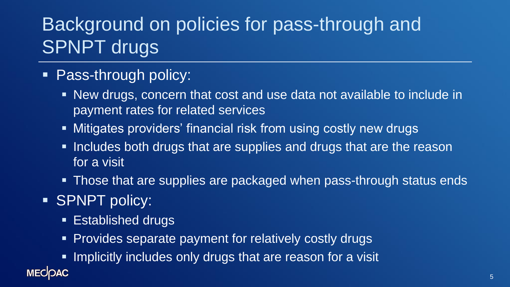## Background on policies for pass-through and SPNPT drugs

### ■ Pass-through policy:

- New drugs, concern that cost and use data not available to include in payment rates for related services
- **EXTERNIFY Mitigates providers' financial risk from using costly new drugs**
- **.** Includes both drugs that are supplies and drugs that are the reason for a visit
- **Those that are supplies are packaged when pass-through status ends**

### ■ SPNPT policy:

**MECOAC** 

- **Established drugs**
- **Provides separate payment for relatively costly drugs**
- **. Implicitly includes only drugs that are reason for a visit**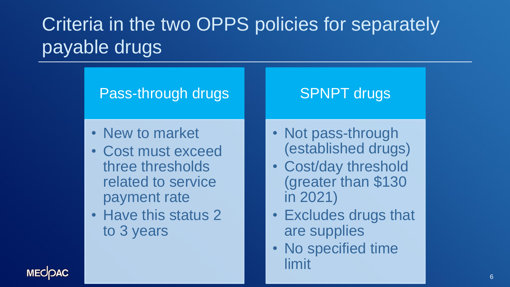## Criteria in the two OPPS policies for separately payable drugs

#### Pass-through drugs

#### SPNPT drugs

- New to market
- Cost must exceed three thresholds related to service payment rate
- Have this status 2 to 3 years
- Not pass-through (established drugs)
- Cost/day threshold (greater than \$130 in 2021)
- Excludes drugs that are supplies
- No specified time limit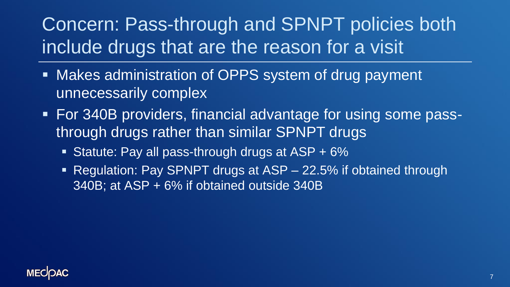## Concern: Pass-through and SPNPT policies both include drugs that are the reason for a visit

- Makes administration of OPPS system of drug payment unnecessarily complex
- For 340B providers, financial advantage for using some passthrough drugs rather than similar SPNPT drugs
	- **EXEC**: Pay all pass-through drugs at ASP  $+ 6\%$
	- Regulation: Pay SPNPT drugs at ASP 22.5% if obtained through 340B; at ASP + 6% if obtained outside 340B

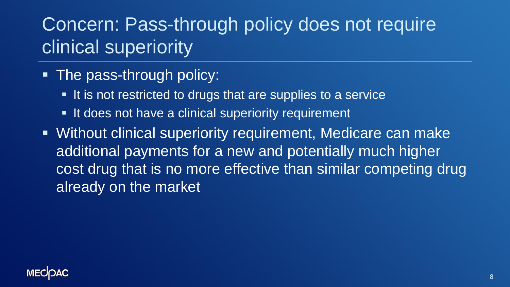### Concern: Pass-through policy does not require clinical superiority

- **The pass-through policy:** 
	- It is not restricted to drugs that are supplies to a service
	- It does not have a clinical superiority requirement
- Without clinical superiority requirement, Medicare can make additional payments for a new and potentially much higher cost drug that is no more effective than similar competing drug already on the market

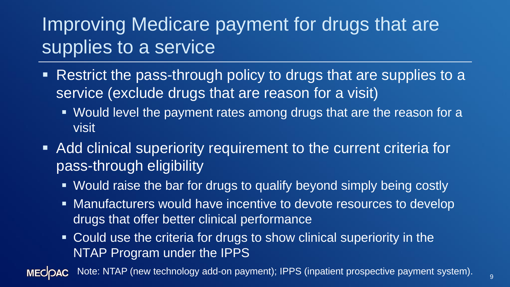### Improving Medicare payment for drugs that are supplies to a service

- Restrict the pass-through policy to drugs that are supplies to a service (exclude drugs that are reason for a visit)
	- Would level the payment rates among drugs that are the reason for a visit
- Add clinical superiority requirement to the current criteria for pass-through eligibility
	- Would raise the bar for drugs to qualify beyond simply being costly
	- **E** Manufacturers would have incentive to devote resources to develop drugs that offer better clinical performance
	- Could use the criteria for drugs to show clinical superiority in the NTAP Program under the IPPS

Note: NTAP (new technology add-on payment); IPPS (inpatient prospective payment system).**MECOAC**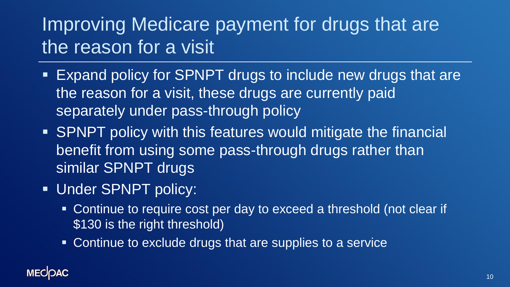## Improving Medicare payment for drugs that are the reason for a visit

- Expand policy for SPNPT drugs to include new drugs that are the reason for a visit, these drugs are currently paid separately under pass-through policy
- SPNPT policy with this features would mitigate the financial benefit from using some pass-through drugs rather than similar SPNPT drugs
- **Under SPNPT policy:** 
	- Continue to require cost per day to exceed a threshold (not clear if \$130 is the right threshold)
	- **EXECONTINUE TO EXCLUDE drugs that are supplies to a service**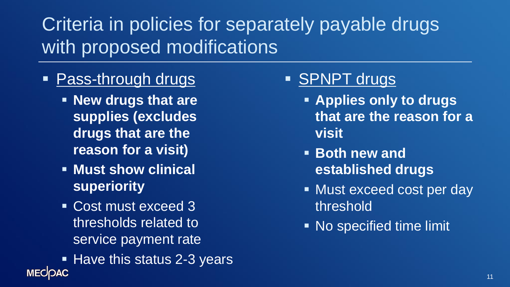### Criteria in policies for separately payable drugs with proposed modifications

- **Pass-through drugs** 
	- **New drugs that are supplies (excludes drugs that are the reason for a visit)**
	- **Must show clinical superiority**
	- Cost must exceed 3 thresholds related to service payment rate
- Have this status 2-3 years **MECOAC**
- SPNPT drugs
	- **Applies only to drugs that are the reason for a visit**
	- **Both new and established drugs**
	- Must exceed cost per day threshold
	- **EXP** No specified time limit